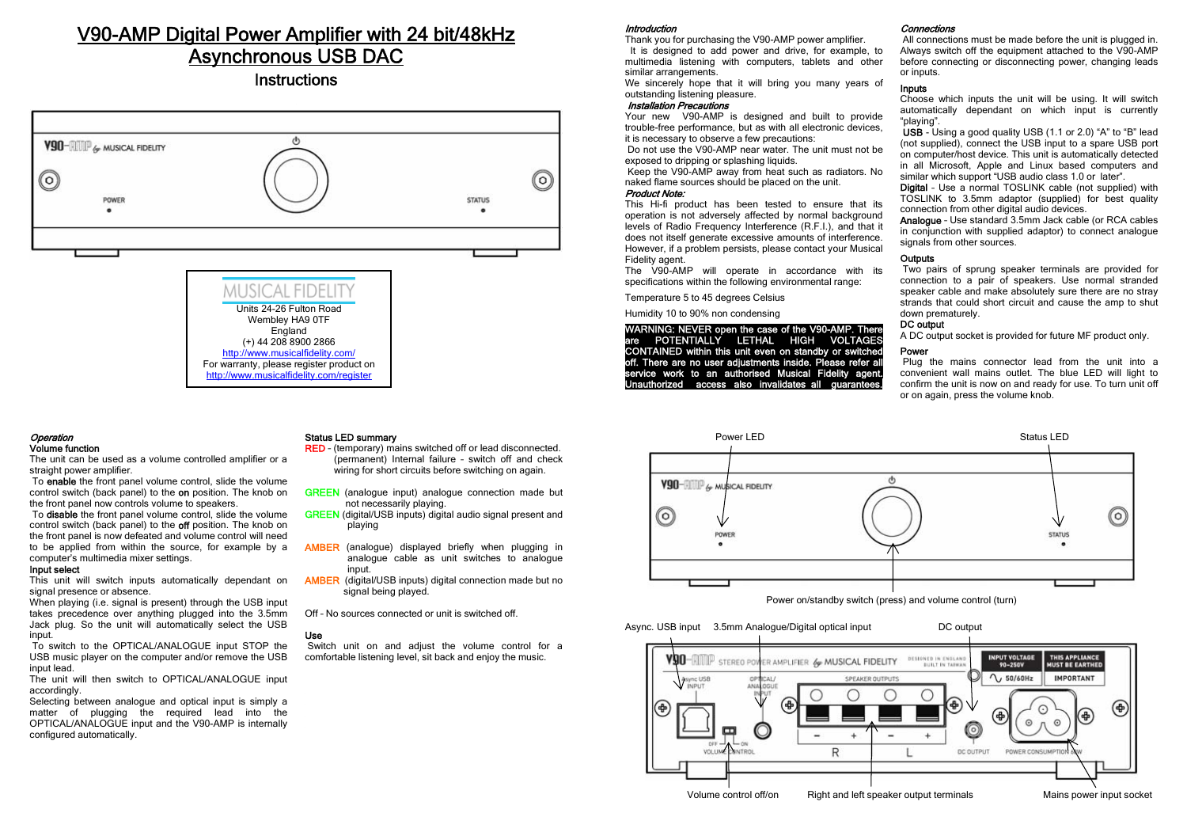# V90-AMP Digital Power Amplifier with 24 bit/48kHz Asynchronous USB DAC

Instructions





#### Operation Volume function

 The unit can be used as a volume controlled amplifier or a straight power amplifier.

 To enable the front panel volume control, slide the volume control switch (back panel) to the on position. The knob on the front panel now controls volume to speakers.

To **disable** the front panel volume control, slide the volume control switch (back panel) to the **off** position. The knob on the front panel is now defeated and volume control will need to be applied from within the source, for example by a computer's multimedia mixer settings.

#### Input select

This unit will switch inputs automatically dependant on signal presence or absence.

When playing (i.e. signal is present) through the USB input takes precedence over anything plugged into the 3.5mm Jack plug. So the unit will automatically select the USB innut

 To switch to the OPTICAL/ANALOGUE input STOP the USB music player on the computer and/or remove the USB input lead.

The unit will then switch to OPTICAL/ANALOGUE input accordingly.

Selecting between analogue and optical input is simply a matter of plugging the required lead into the OPTICAL/ANALOGUE input and the V90-AMP is internally configured automatically.

#### Status LED summary

- RED (temporary) mains switched off or lead disconnected. (permanent) Internal failure – switch off and check wiring for short circuits before switching on again.
- GREEN (analogue input) analogue connection made but not necessarily playing.
- GREEN (digital/USB inputs) digital audio signal present and playing
- AMBER (analogue) displayed briefly when plugging in analogue cable as unit switches to analogue input.
- AMBER (digital/USB inputs) digital connection made but no signal being played.
- Off No sources connected or unit is switched off.

#### Use

 Switch unit on and adjust the volume control for a comfortable listening level, sit back and enjoy the music.

#### Introduction

 Thank you for purchasing the V90-AMP power amplifier. It is designed to add power and drive, for example, to multimedia listening with computers, tablets and other similar arrangements.

We sincerely hope that it will bring you many years of outstanding listening pleasure.

#### Installation Precautions

 Your new V90-AMP is designed and built to provide trouble-free performance, but as with all electronic devices, it is necessary to observe a few precautions:

 Do not use the V90-AMP near water. The unit must not be exposed to dripping or splashing liquids.

 Keep the V90-AMP away from heat such as radiators. No naked flame sources should be placed on the unit.

# Product Note:

 This Hi-fi product has been tested to ensure that its operation is not adversely affected by normal background levels of Radio Frequency Interference (R.F.I.), and that it does not itself generate excessive amounts of interference. However, if a problem persists, please contact your Musical Fidelity agent

The V90-AMP will operate in accordance with its specifications within the following environmental range:

Temperature 5 to 45 degrees Celsius

Humidity 10 to 90% non condensing

WARNING: NEVER open the case of the V90-AMP. There are POTENTIALLY LETHAL HIGH VOLTAGES CONTAINED within this unit even on standby or switched off. There are no user adjustments inside. Please refer all service work to an authorised Musical Fidelity agent. Unauthorized access also invalidates all guarantees.

### Connections

 All connections must be made before the unit is plugged in. Always switch off the equipment attached to the V90-AMP before connecting or disconnecting power, changing leads or inputs.

#### Inputs

Choose which inputs the unit will be using. It will switch automatically dependant on which input is currently "playing".

 USB - Using a good quality USB (1.1 or 2.0) "A" to "B" lead (not supplied), connect the USB input to a spare USB port on computer/host device. This unit is automatically detected in all Microsoft, Apple and Linux based computers and similar which support "USB audio class 1.0 or later".

**Digital** - Use a normal TOSLINK cable (not supplied) with TOSLINK to 3.5mm adaptor (supplied) for best quality connection from other digital audio devices.

Analogue – Use standard 3.5mm Jack cable (or RCA cables in conjunction with supplied adaptor) to connect analogue signals from other sources.

#### **Outputs**

 Two pairs of sprung speaker terminals are provided for connection to a pair of speakers. Use normal stranded speaker cable and make absolutely sure there are no stray strands that could short circuit and cause the amp to shut down prematurely.

## DC output

A DC output socket is provided for future MF product only.

#### Power

Plug the mains connector lead from the unit into a convenient wall mains outlet. The blue LED will light to confirm the unit is now on and ready for use. To turn unit off or on again, press the volume knob.



Power LED Status LED

Power on/standby switch (press) and volume control (turn)